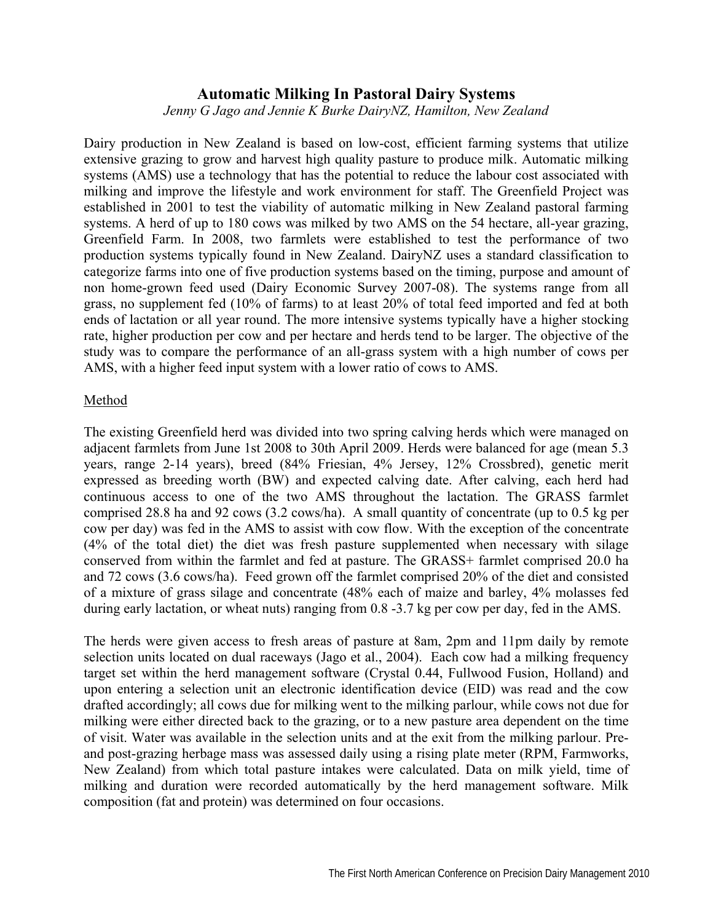## **Automatic Milking In Pastoral Dairy Systems**

*Jenny G Jago and Jennie K Burke DairyNZ, Hamilton, New Zealand* 

Dairy production in New Zealand is based on low-cost, efficient farming systems that utilize extensive grazing to grow and harvest high quality pasture to produce milk. Automatic milking systems (AMS) use a technology that has the potential to reduce the labour cost associated with milking and improve the lifestyle and work environment for staff. The Greenfield Project was established in 2001 to test the viability of automatic milking in New Zealand pastoral farming systems. A herd of up to 180 cows was milked by two AMS on the 54 hectare, all-year grazing, Greenfield Farm. In 2008, two farmlets were established to test the performance of two production systems typically found in New Zealand. DairyNZ uses a standard classification to categorize farms into one of five production systems based on the timing, purpose and amount of non home-grown feed used (Dairy Economic Survey 2007-08). The systems range from all grass, no supplement fed (10% of farms) to at least 20% of total feed imported and fed at both ends of lactation or all year round. The more intensive systems typically have a higher stocking rate, higher production per cow and per hectare and herds tend to be larger. The objective of the study was to compare the performance of an all-grass system with a high number of cows per AMS, with a higher feed input system with a lower ratio of cows to AMS.

## Method

The existing Greenfield herd was divided into two spring calving herds which were managed on adjacent farmlets from June 1st 2008 to 30th April 2009. Herds were balanced for age (mean 5.3 years, range 2-14 years), breed (84% Friesian, 4% Jersey, 12% Crossbred), genetic merit expressed as breeding worth (BW) and expected calving date. After calving, each herd had continuous access to one of the two AMS throughout the lactation. The GRASS farmlet comprised 28.8 ha and 92 cows (3.2 cows/ha). A small quantity of concentrate (up to 0.5 kg per cow per day) was fed in the AMS to assist with cow flow. With the exception of the concentrate (4% of the total diet) the diet was fresh pasture supplemented when necessary with silage conserved from within the farmlet and fed at pasture. The GRASS+ farmlet comprised 20.0 ha and 72 cows (3.6 cows/ha). Feed grown off the farmlet comprised 20% of the diet and consisted of a mixture of grass silage and concentrate (48% each of maize and barley, 4% molasses fed during early lactation, or wheat nuts) ranging from 0.8 -3.7 kg per cow per day, fed in the AMS.

The herds were given access to fresh areas of pasture at 8am, 2pm and 11pm daily by remote selection units located on dual raceways (Jago et al., 2004). Each cow had a milking frequency target set within the herd management software (Crystal 0.44, Fullwood Fusion, Holland) and upon entering a selection unit an electronic identification device (EID) was read and the cow drafted accordingly; all cows due for milking went to the milking parlour, while cows not due for milking were either directed back to the grazing, or to a new pasture area dependent on the time of visit. Water was available in the selection units and at the exit from the milking parlour. Preand post-grazing herbage mass was assessed daily using a rising plate meter (RPM, Farmworks, New Zealand) from which total pasture intakes were calculated. Data on milk yield, time of milking and duration were recorded automatically by the herd management software. Milk composition (fat and protein) was determined on four occasions.